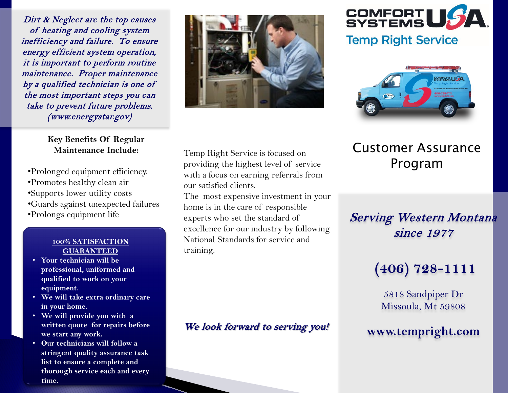Dirt & Neglect are the top causes of heating and cooling system inefficiency and failure. To ensure energy efficient system operation, it is important to perform routine maintenance. Proper maintenance by a qualified technician is one of the most important steps you can take to prevent future problems. (www.energystar.gov)

> **Key Benefits Of Regular Maintenance Include:**

- •Prolonged equipment efficiency.
- •Promotes healthy clean air
- •Supports lower utility costs
- •Guards against unexpected failures
- •Prolongs equipment life

#### **100% SATISFACTION GUARANTEED**

- **Your technician will be professional, uniformed and qualified to work on your equipment.**
- **We will take extra ordinary care in your home.**
- **We will provide you with a written quote for repairs before we start any work.**
- **Our technicians will follow a stringent quality assurance task list to ensure a complete and thorough service each and every time.**





#### **Temp Right Service**



## Customer Assurance Program

### Serving Western Montana since 1977

# **(406) 728-1111**

5818 Sandpiper Dr Missoula, Mt 59808

#### **www.tempright.com**

Temp Right Service is focused on providing the highest level of service with a focus on earning referrals from our satisfied clients.

The most expensive investment in your home is in the care of responsible experts who set the standard of excellence for our industry by following National Standards for service and training.

We look forward to serving you!